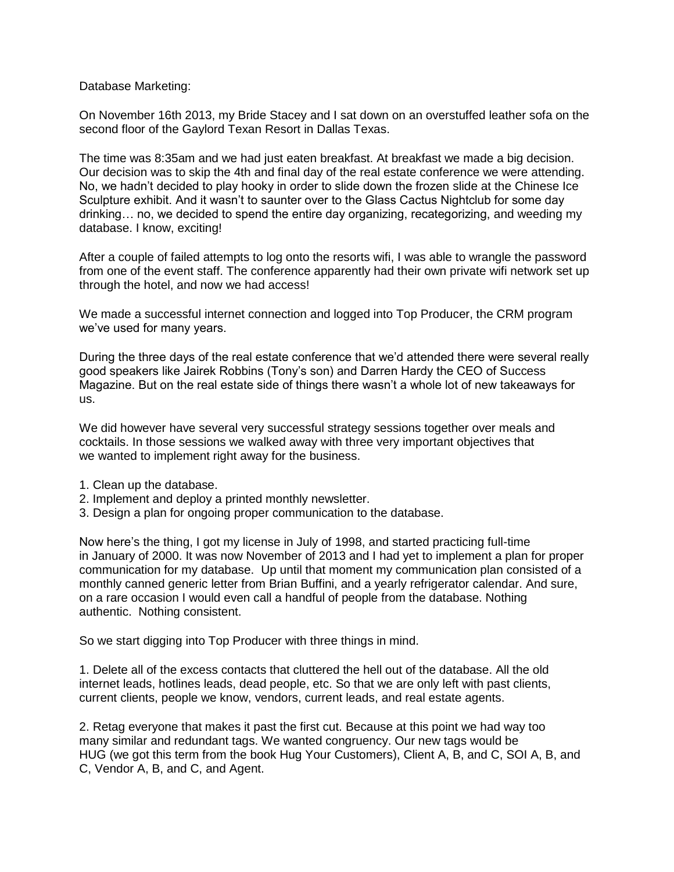## Database Marketing:

On November 16th 2013, my Bride Stacey and I sat down on an overstuffed leather sofa on the second floor of the Gaylord Texan Resort in Dallas Texas.

The time was 8:35am and we had just eaten breakfast. At breakfast we made a big decision. Our decision was to skip the 4th and final day of the real estate conference we were attending. No, we hadn't decided to play hooky in order to slide down the frozen slide at the Chinese Ice Sculpture exhibit. And it wasn't to saunter over to the Glass Cactus Nightclub for some day drinking… no, we decided to spend the entire day organizing, recategorizing, and weeding my database. I know, exciting!

After a couple of failed attempts to log onto the resorts wifi, I was able to wrangle the password from one of the event staff. The conference apparently had their own private wifi network set up through the hotel, and now we had access!

We made a successful internet connection and logged into Top Producer, the CRM program we've used for many years.

During the three days of the real estate conference that we'd attended there were several really good speakers like Jairek Robbins (Tony's son) and Darren Hardy the CEO of Success Magazine. But on the real estate side of things there wasn't a whole lot of new takeaways for us.

We did however have several very successful strategy sessions together over meals and cocktails. In those sessions we walked away with three very important objectives that we wanted to implement right away for the business.

- 1. Clean up the database.
- 2. Implement and deploy a printed monthly newsletter.
- 3. Design a plan for ongoing proper communication to the database.

Now here's the thing, I got my license in July of 1998, and started practicing full-time in January of 2000. It was now November of 2013 and I had yet to implement a plan for proper communication for my database. Up until that moment my communication plan consisted of a monthly canned generic letter from Brian Buffini, and a yearly refrigerator calendar. And sure, on a rare occasion I would even call a handful of people from the database. Nothing authentic. Nothing consistent.

So we start digging into Top Producer with three things in mind.

1. Delete all of the excess contacts that cluttered the hell out of the database. All the old internet leads, hotlines leads, dead people, etc. So that we are only left with past clients, current clients, people we know, vendors, current leads, and real estate agents.

2. Retag everyone that makes it past the first cut. Because at this point we had way too many similar and redundant tags. We wanted congruency. Our new tags would be HUG (we got this term from the book Hug Your Customers), Client A, B, and C, SOI A, B, and C, Vendor A, B, and C, and Agent.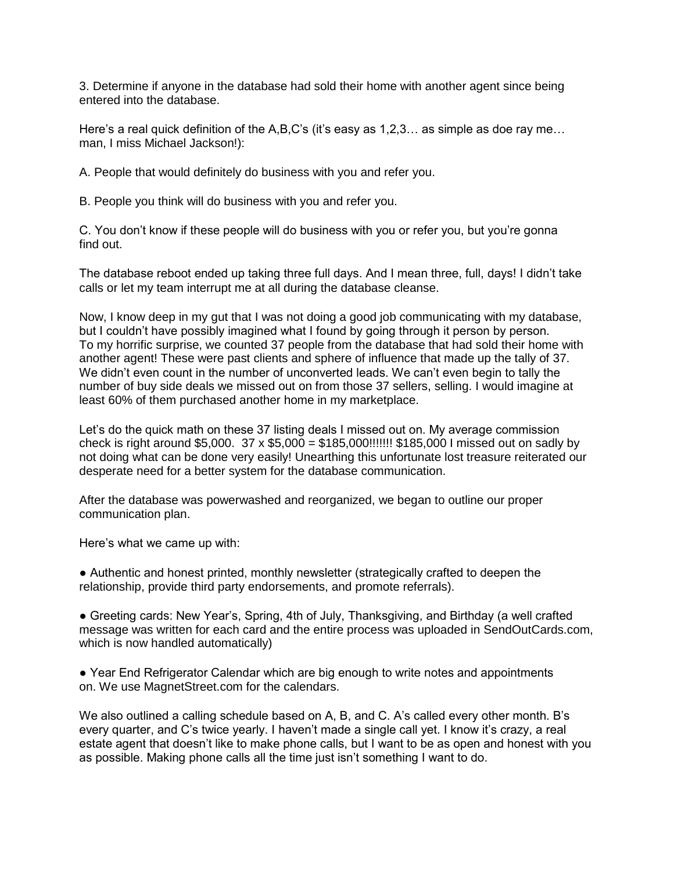3. Determine if anyone in the database had sold their home with another agent since being entered into the database.

Here's a real quick definition of the A,B,C's (it's easy as 1,2,3… as simple as doe ray me… man, I miss Michael Jackson!):

A. People that would definitely do business with you and refer you.

B. People you think will do business with you and refer you.

C. You don't know if these people will do business with you or refer you, but you're gonna find out.

The database reboot ended up taking three full days. And I mean three, full, days! I didn't take calls or let my team interrupt me at all during the database cleanse.

Now, I know deep in my gut that I was not doing a good job communicating with my database, but I couldn't have possibly imagined what I found by going through it person by person. To my horrific surprise, we counted 37 people from the database that had sold their home with another agent! These were past clients and sphere of influence that made up the tally of 37. We didn't even count in the number of unconverted leads. We can't even begin to tally the number of buy side deals we missed out on from those 37 sellers, selling. I would imagine at least 60% of them purchased another home in my marketplace.

Let's do the quick math on these 37 listing deals I missed out on. My average commission check is right around \$5,000. 37 x \$5,000 = \$185,000!!!!!!! \$185,000 I missed out on sadly by not doing what can be done very easily! Unearthing this unfortunate lost treasure reiterated our desperate need for a better system for the database communication.

After the database was powerwashed and reorganized, we began to outline our proper communication plan.

Here's what we came up with:

● Authentic and honest printed, monthly newsletter (strategically crafted to deepen the relationship, provide third party endorsements, and promote referrals).

● Greeting cards: New Year's, Spring, 4th of July, Thanksgiving, and Birthday (a well crafted message was written for each card and the entire process was uploaded in SendOutCards.com, which is now handled automatically)

● Year End Refrigerator Calendar which are big enough to write notes and appointments on. We use MagnetStreet.com for the calendars.

We also outlined a calling schedule based on A, B, and C. A's called every other month. B's every quarter, and C's twice yearly. I haven't made a single call yet. I know it's crazy, a real estate agent that doesn't like to make phone calls, but I want to be as open and honest with you as possible. Making phone calls all the time just isn't something I want to do.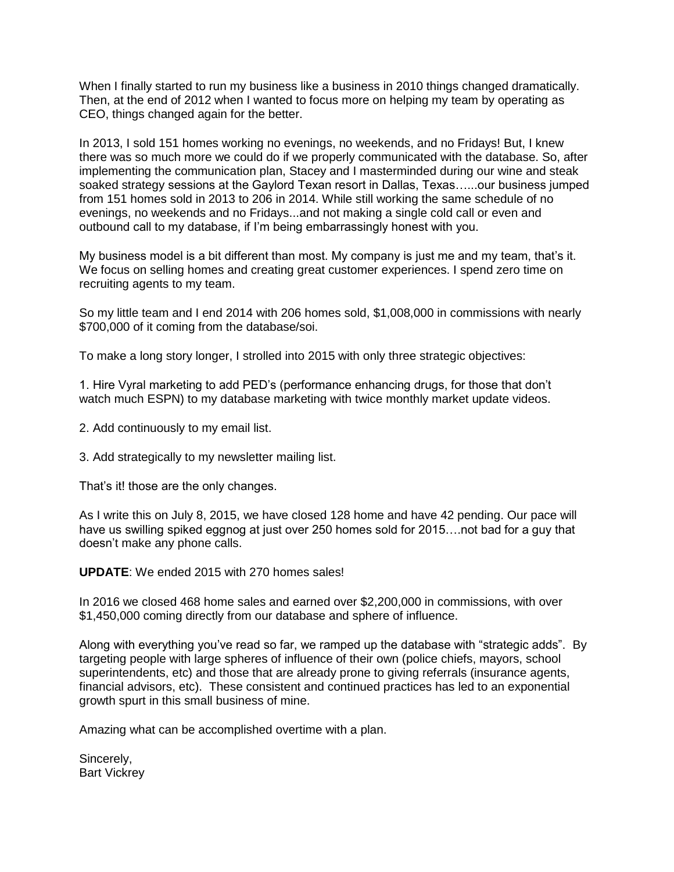When I finally started to run my business like a business in 2010 things changed dramatically. Then, at the end of 2012 when I wanted to focus more on helping my team by operating as CEO, things changed again for the better.

In 2013, I sold 151 homes working no evenings, no weekends, and no Fridays! But, I knew there was so much more we could do if we properly communicated with the database. So, after implementing the communication plan, Stacey and I masterminded during our wine and steak soaked strategy sessions at the Gaylord Texan resort in Dallas, Texas…...our business jumped from 151 homes sold in 2013 to 206 in 2014. While still working the same schedule of no evenings, no weekends and no Fridays...and not making a single cold call or even and outbound call to my database, if I'm being embarrassingly honest with you.

My business model is a bit different than most. My company is just me and my team, that's it. We focus on selling homes and creating great customer experiences. I spend zero time on recruiting agents to my team.

So my little team and I end 2014 with 206 homes sold, \$1,008,000 in commissions with nearly \$700,000 of it coming from the database/soi.

To make a long story longer, I strolled into 2015 with only three strategic objectives:

1. Hire Vyral marketing to add PED's (performance enhancing drugs, for those that don't watch much ESPN) to my database marketing with twice monthly market update videos.

- 2. Add continuously to my email list.
- 3. Add strategically to my newsletter mailing list.

That's it! those are the only changes.

As I write this on July 8, 2015, we have closed 128 home and have 42 pending. Our pace will have us swilling spiked eggnog at just over 250 homes sold for 2015….not bad for a guy that doesn't make any phone calls.

**UPDATE**: We ended 2015 with 270 homes sales!

In 2016 we closed 468 home sales and earned over \$2,200,000 in commissions, with over \$1,450,000 coming directly from our database and sphere of influence.

Along with everything you've read so far, we ramped up the database with "strategic adds". By targeting people with large spheres of influence of their own (police chiefs, mayors, school superintendents, etc) and those that are already prone to giving referrals (insurance agents, financial advisors, etc). These consistent and continued practices has led to an exponential growth spurt in this small business of mine.

Amazing what can be accomplished overtime with a plan.

Sincerely, Bart Vickrey